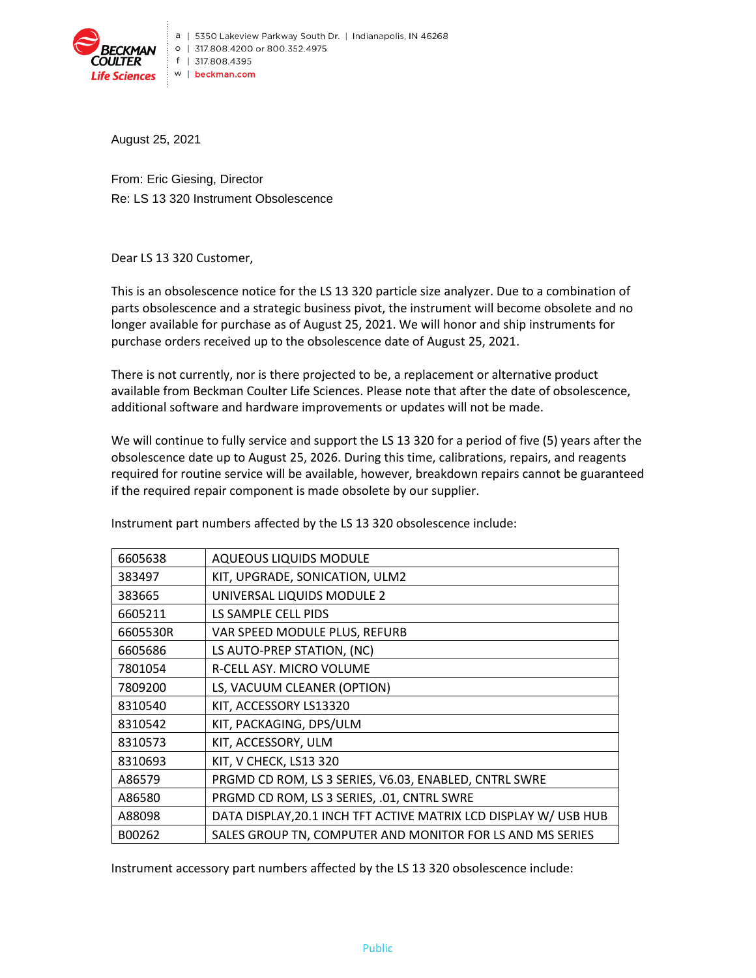

August 25, 2021

From: Eric Giesing, Director Re: LS 13 320 Instrument Obsolescence

Dear LS 13 320 Customer,

This is an obsolescence notice for the LS 13 320 particle size analyzer. Due to a combination of parts obsolescence and a strategic business pivot, the instrument will become obsolete and no longer available for purchase as of August 25, 2021. We will honor and ship instruments for purchase orders received up to the obsolescence date of August 25, 2021.

There is not currently, nor is there projected to be, a replacement or alternative product available from Beckman Coulter Life Sciences. Please note that after the date of obsolescence, additional software and hardware improvements or updates will not be made.

We will continue to fully service and support the LS 13 320 for a period of five (5) years after the obsolescence date up to August 25, 2026. During this time, calibrations, repairs, and reagents required for routine service will be available, however, breakdown repairs cannot be guaranteed if the required repair component is made obsolete by our supplier.

| 6605638  | <b>AQUEOUS LIQUIDS MODULE</b>                                    |
|----------|------------------------------------------------------------------|
| 383497   | KIT, UPGRADE, SONICATION, ULM2                                   |
| 383665   | UNIVERSAL LIQUIDS MODULE 2                                       |
| 6605211  | LS SAMPLE CELL PIDS                                              |
| 6605530R | VAR SPEED MODULE PLUS, REFURB                                    |
| 6605686  | LS AUTO-PREP STATION, (NC)                                       |
| 7801054  | R-CELL ASY, MICRO VOLUME                                         |
| 7809200  | LS, VACUUM CLEANER (OPTION)                                      |
| 8310540  | KIT, ACCESSORY LS13320                                           |
| 8310542  | KIT, PACKAGING, DPS/ULM                                          |
| 8310573  | KIT, ACCESSORY, ULM                                              |
| 8310693  | KIT, V CHECK, LS13 320                                           |
| A86579   | PRGMD CD ROM, LS 3 SERIES, V6.03, ENABLED, CNTRL SWRE            |
| A86580   | PRGMD CD ROM, LS 3 SERIES, .01, CNTRL SWRE                       |
| A88098   | DATA DISPLAY, 20.1 INCH TFT ACTIVE MATRIX LCD DISPLAY W/ USB HUB |
| B00262   | SALES GROUP TN, COMPUTER AND MONITOR FOR LS AND MS SERIES        |

Instrument part numbers affected by the LS 13 320 obsolescence include:

Instrument accessory part numbers affected by the LS 13 320 obsolescence include: